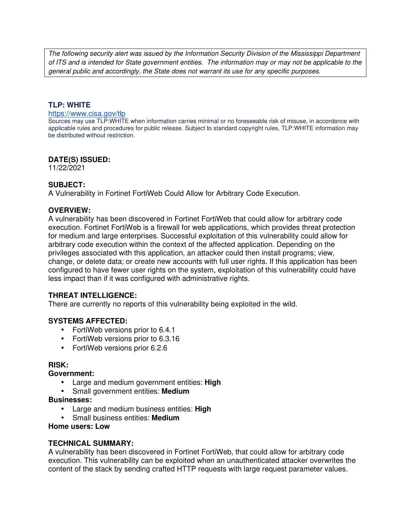The following security alert was issued by the Information Security Division of the Mississippi Department of ITS and is intended for State government entities. The information may or may not be applicable to the general public and accordingly, the State does not warrant its use for any specific purposes.

## **TLP: WHITE**

#### https://www.cisa.gov/tlp

Sources may use TLP:WHITE when information carries minimal or no foreseeable risk of misuse, in accordance with applicable rules and procedures for public release. Subject to standard copyright rules, TLP:WHITE information may be distributed without restriction.

### **DATE(S) ISSUED:**

11/22/2021

## **SUBJECT:**

A Vulnerability in Fortinet FortiWeb Could Allow for Arbitrary Code Execution.

## **OVERVIEW:**

A vulnerability has been discovered in Fortinet FortiWeb that could allow for arbitrary code execution. Fortinet FortiWeb is a firewall for web applications, which provides threat protection for medium and large enterprises. Successful exploitation of this vulnerability could allow for arbitrary code execution within the context of the affected application. Depending on the privileges associated with this application, an attacker could then install programs; view, change, or delete data; or create new accounts with full user rights. If this application has been configured to have fewer user rights on the system, exploitation of this vulnerability could have less impact than if it was configured with administrative rights.

## **THREAT INTELLIGENCE:**

There are currently no reports of this vulnerability being exploited in the wild.

### **SYSTEMS AFFECTED:**

- FortiWeb versions prior to 6.4.1
- FortiWeb versions prior to 6.3.16
- FortiWeb versions prior 6.2.6

### **RISK:**

### **Government:**

- Large and medium government entities: **High**
- Small government entities: **Medium**

### **Businesses:**

- Large and medium business entities: **High**
- Small business entities: **Medium**

### **Home users: Low**

### **TECHNICAL SUMMARY:**

A vulnerability has been discovered in Fortinet FortiWeb, that could allow for arbitrary code execution. This vulnerability can be exploited when an unauthenticated attacker overwrites the content of the stack by sending crafted HTTP requests with large request parameter values.